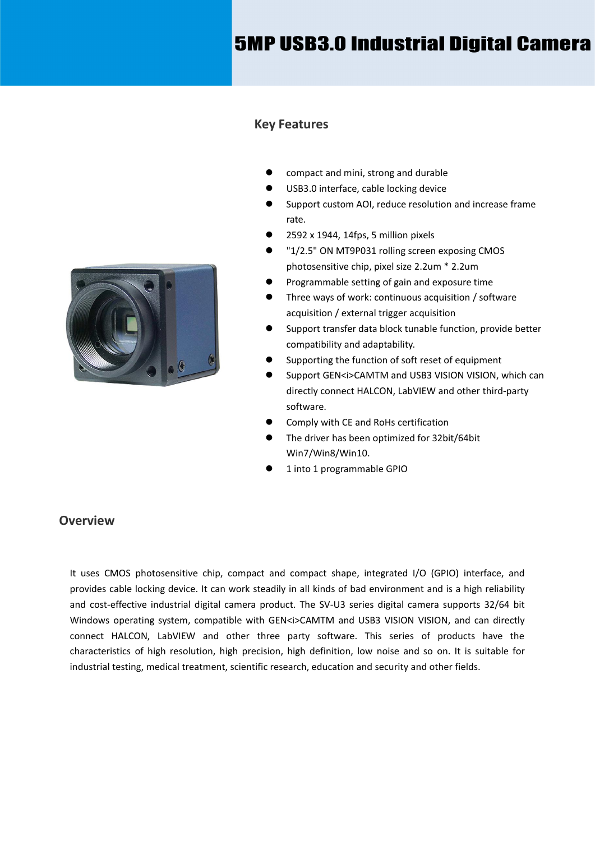# 5MP USB3.0 Industrial Digital Camera



- compact and mini, strong and durable
- USB3.0 interface, cable locking device
- Support custom AOI, reduce resolution and increase frame rate.
- 2592 x 1944, 14fps, 5 million pixels
- "1/2.5" ON MT9P031 rolling screen exposing CMOS photosensitive chip, pixel size 2.2um \* 2.2um
- Programmable setting of gain and exposure time
- Three ways of work: continuous acquisition / software acquisition / external trigger acquisition
- Support transfer data block tunable function, provide better compatibility and adaptability.
- Supporting the function of soft reset of equipment
- Support GEN<i>CAMTM and USB3 VISION VISION, which can directly connect HALCON, LabVIEW and other third-party software.
- Comply with CE and RoHs certification
- The driver has been optimized for 32bit/64bit Win7/Win8/Win10.
- 1 into 1 programmable GPIO

#### **Overview**

It uses CMOS photosensitive chip, compact and compact shape, integrated I/O (GPIO) interface, and provides cable locking device. It can work steadily in all kinds of bad environment and is a high reliability and cost-effective industrial digital camera product. The SV-U3 series digital camera supports 32/64 bit Windows operating system, compatible with GEN<i>CAMTM and USB3 VISION VISION, and can directly connect HALCON, LabVIEW and other three party software. This series of products have the characteristics of high resolution, high precision, high definition, low noise and so on. It is suitable for industrial testing, medical treatment, scientific research, education and security and other fields.